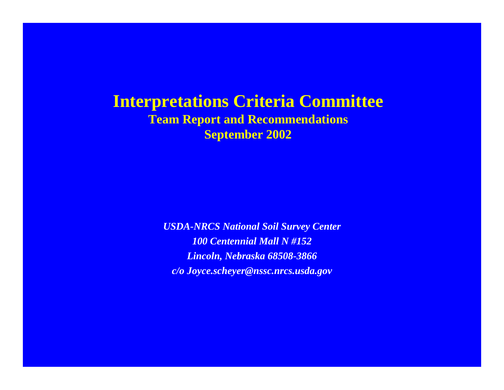#### **Interpretations Criteria Committee Team Report and Recommendations September 2002**

*USDA-NRCS National Soil Survey Center 100 Centennial Mall N #152Lincoln, Nebraska 68508-3866 c/o Joyce.scheyer@nssc.nrcs.usda.gov*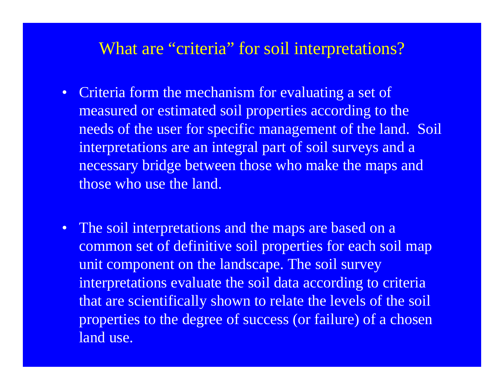## What are "criteria" for soil interpretations?

- Criteria form the mechanism for evaluating a set of measured or estimated soil properties according to the needs of the user for specific management of the land. Soil interpretations are an integral part of soil surveys and a necessary bridge between those who make the maps and those who use the land.
- The soil interpretations and the maps are based on a common set of definitive soil properties for each soil map unit component on the landscape. The soil survey interpretations evaluate the soil data according to criteria that are scientifically shown to relate the levels of the soil properties to the degree of success (or failure) of a chosen land use.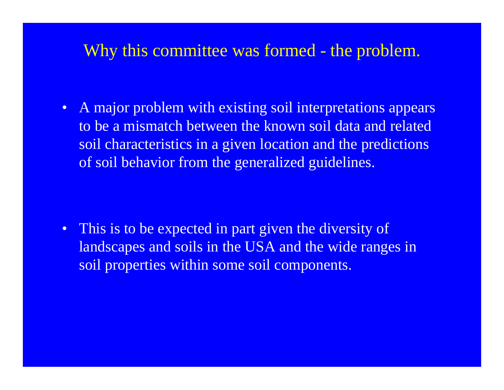# Why this committee was formed - the problem.

• A major problem with existing soil interpretations appears to be a mismatch between the known soil data and related soil characteristics in a given location and the predictions of soil behavior from the generalized guidelines.

• This is to be expected in part given the diversity of landscapes and soils in the USA and the wide ranges in soil properties within some soil components.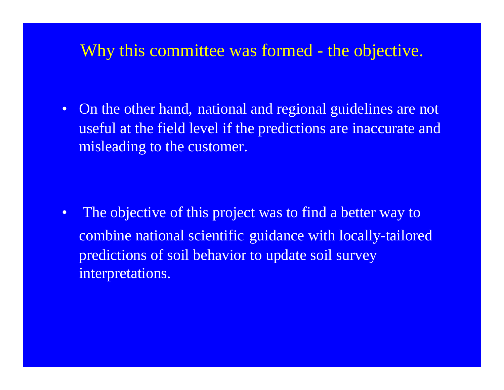# Why this committee was formed - the objective.

• On the other hand, national and regional guidelines are not useful at the field level if the predictions are inaccurate and misleading to the customer.

• The objective of this project was to find a better way to combine national scientific guidance with locally-tailored predictions of soil behavior to update soil survey interpretations.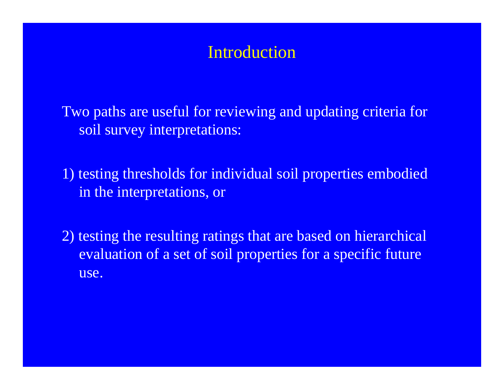# Introduction

Two paths are useful for reviewing and updating criteria for soil survey interpretations:

1) testing thresholds for individual soil properties embodied in the interpretations, or

2) testing the resulting ratings that are based on hierarchical evaluation of a set of soil properties for a specific future use.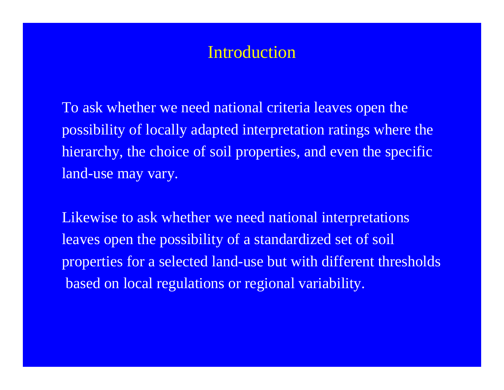# Introduction

To ask whether we need national criteria leaves open the possibility of locally adapted interpretation ratings where the hierarchy, the choice of soil properties, and even the specific land-use may vary.

Likewise to ask whether we need national interpretations leaves open the possibility of a standardized set of soil properties for a selected land-use but with different thresholds based on local regulations or regional variability.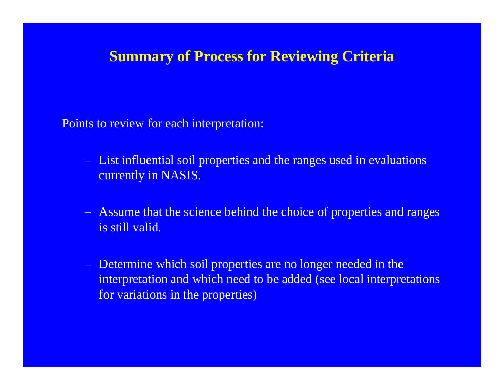#### **Summary of Process for Reviewing Criteria**

Points to review for each interpretation:

- List influential soil properties and the ranges used in evaluations currently in NASIS.
- Assume that the science behind the choice of properties and ranges is still valid.
- Determine which soil properties are no longer needed in the interpretation and which need to be added (see local interpretations for variations in the properties)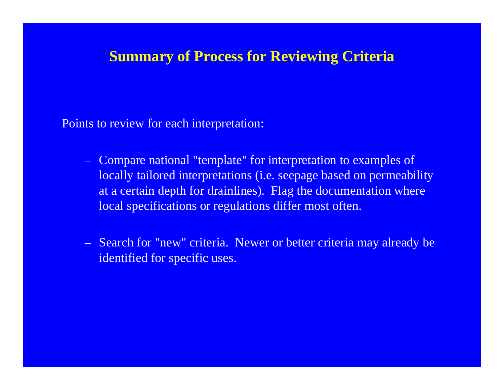#### **Summary of Process for Reviewing Criteria**

Points to review for each interpretation:

- Compare national "template" for interpretation to examples of locally tailored interpretations (i.e. seepage based on permeability at a certain depth for drainlines). Flag the documentation where local specifications or regulations differ most often.
- Search for "new" criteria. Newer or better criteria may already be identified for specific uses.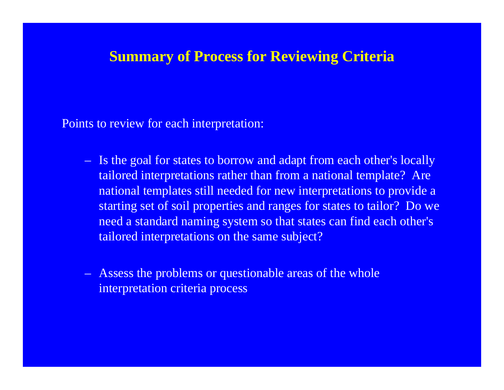#### **Summary of Process for Reviewing Criteria**

Points to review for each interpretation:

- Is the goal for states to borrow and adapt from each other's locally tailored interpretations rather than from a national template? Are national templates still needed for new interpretations to provide a starting set of soil properties and ranges for states to tailor? Do we need a standard naming system so that states can find each other's tailored interpretations on the same subject?
- Assess the problems or questionable areas of the whole interpretation criteria process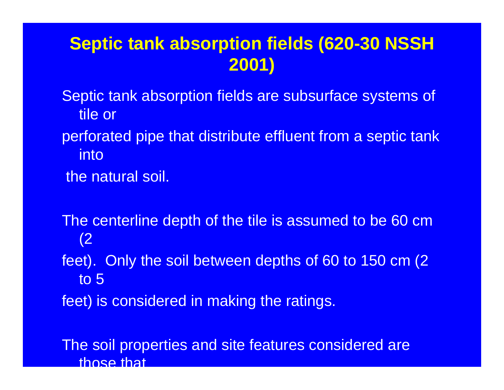# **Septic tank absorption fields (620-30 NSSH 2001)**

Septic tank absorption fields are subsurface systems of tile or

perforated pipe that distribute effluent from a septic tank into

the natural soil.

The centerline depth of the tile is assumed to be 60 cm (2

feet). Only the soil between depths of 60 to 150 cm (2 to 5

feet) is considered in making the ratings.

The soil properties and site features considered are those that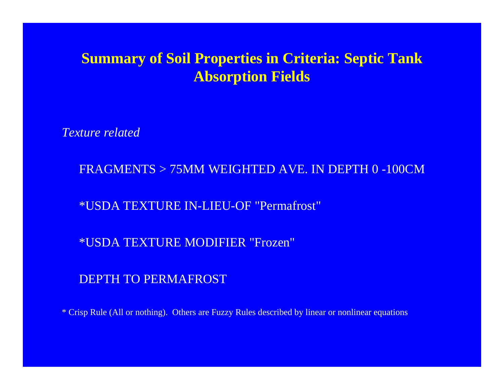*Texture related*

FRAGMENTS > 75MM WEIGHTED AVE. IN DEPTH 0 -100CM

\*USDA TEXTURE IN-LIEU-OF "Permafrost"

\*USDA TEXTURE MODIFIER "Frozen"

DEPTH TO PERMAFROST

\* Crisp Rule (All or nothing). Others are Fuzzy Rules described by linear or nonlinear equations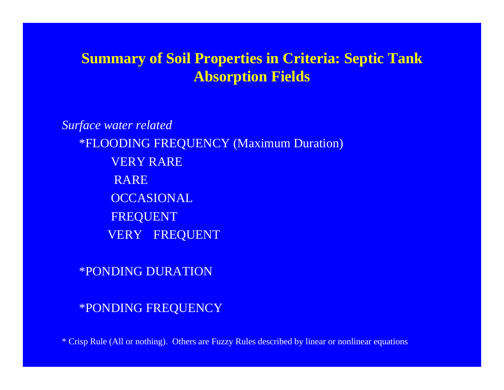*Surface water related* \*FLOODING FREQUENCY (Maximum Duration) VERY RARERARE **OCCASIONAL** FREQUENT VERY FREQUENT

\*PONDING DURATION

\*PONDING FREQUENCY

\* Crisp Rule (All or nothing). Others are Fuzzy Rules described by linear or nonlinear equations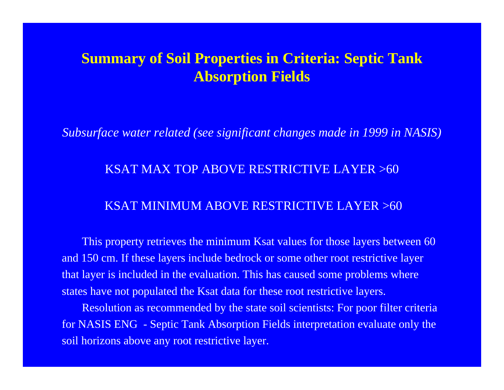*Subsurface water related (see significant changes made in 1999 in NASIS)*

#### KSAT MAX TOP ABOVE RESTRICTIVE LAYER >60

#### KSAT MINIMUM ABOVE RESTRICTIVE LAYER >60

This property retrieves the minimum Ksat values for those layers between 60 and 150 cm. If these layers include bedrock or some other root restrictive layer that layer is included in the evaluation. This has caused some problems where states have not populated the Ksat data for these root restrictive layers.

Resolution as recommended by the state soil scientists: For poor filter criteria for NASIS ENG - Septic Tank Absorption Fields interpretation evaluate only the soil horizons above any root restrictive layer.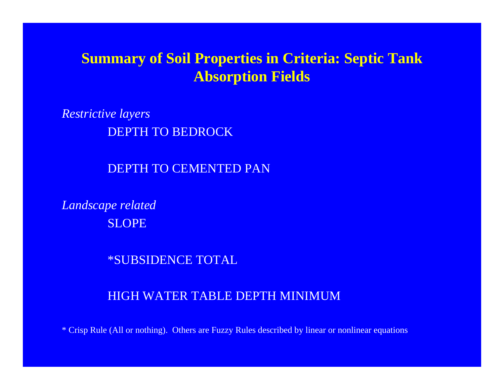*Restrictive layers* DEPTH TO BEDROCK

DEPTH TO CEMENTED PAN

*Landscape related* **SLOPE** 

\*SUBSIDENCE TOTAL

#### HIGH WATER TABLE DEPTH MINIMUM

\* Crisp Rule (All or nothing). Others are Fuzzy Rules described by linear or nonlinear equations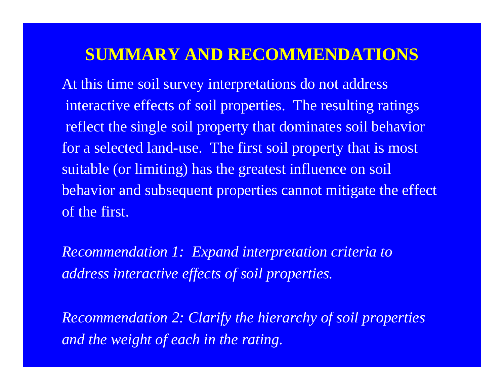# **SUMMARY AND RECOMMENDATIONS**

At this time soil survey interpretations do not address interactive effects of soil properties. The resulting ratings reflect the single soil property that dominates soil behavior for a selected land-use. The first soil property that is most suitable (or limiting) has the greatest influence on soil behavior and subsequent properties cannot mitigate the effect of the first.

*Recommendation 1: Expand interpretation criteria to address interactive effects of soil properties.* 

*Recommendation 2: Clarify the hierarchy of soil properties and the weight of each in the rating.*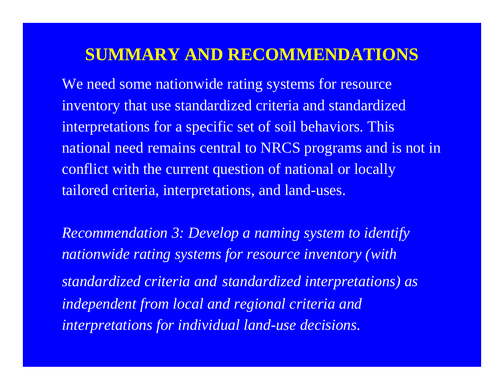# **SUMMARY AND RECOMMENDATIONS**

We need some nationwide rating systems for resource inventory that use standardized criteria and standardized interpretations for a specific set of soil behaviors. This national need remains central to NRCS programs and is not in conflict with the current question of national or locally tailored criteria, interpretations, and land-uses.

*Recommendation 3: Develop a naming system to identify nationwide rating systems for resource inventory (with standardized criteria and standardized interpretations) as independent from local and regional criteria and interpretations for individual land-use decisions.*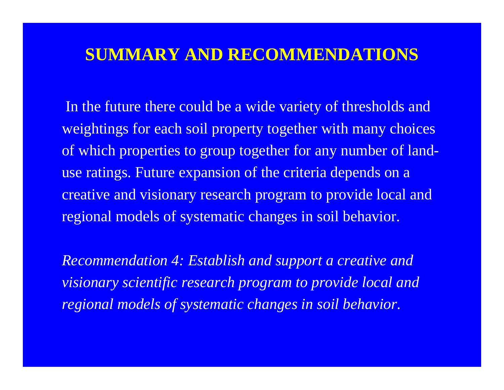# **SUMMARY AND RECOMMENDATIONS**

In the future there could be a wide variety of thresholds and weightings for each soil property together with many choices of which properties to group together for any number of landuse ratings. Future expansion of the criteria depends on a creative and visionary research program to provide local and regional models of systematic changes in soil behavior.

*Recommendation 4: Establish and support a creative and visionary scientific research program to provide local and regional models of systematic changes in soil behavior.*